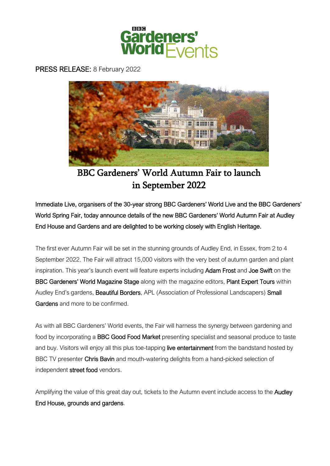

## PRESS RELEASE: 8 February 2022



BBC Gardeners' World Autumn Fair to launch in September 2022

Immediate Live, organisers of the 30-year strong BBC Gardeners' World Live and the BBC Gardeners' World Spring Fair, today announce details of the new BBC Gardeners' World Autumn Fair at Audley End House and Gardens and are delighted to be working closely with English Heritage.

The first ever Autumn Fair will be set in the stunning grounds of Audley End, in Essex, from 2 to 4 September 2022. The Fair will attract 15,000 visitors with the very best of autumn garden and plant inspiration. This year's launch event will feature experts including Adam Frost and Joe Swift on the BBC Gardeners' World Magazine Stage along with the magazine editors, Plant Expert Tours within Audley End's gardens, **Beautiful Borders**, APL (Association of Professional Landscapers) Small Gardens and more to be confirmed.

As with all BBC Gardeners' World events, the Fair will harness the synergy between gardening and food by incorporating a BBC Good Food Market presenting specialist and seasonal produce to taste and buy. Visitors will enjoy all this plus toe-tapping live entertainment from the bandstand hosted by BBC TV presenter Chris Bavin and mouth-watering delights from a hand-picked selection of independent street food vendors.

Amplifying the value of this great day out, tickets to the Autumn event include access to the **Audley** End House, grounds and gardens.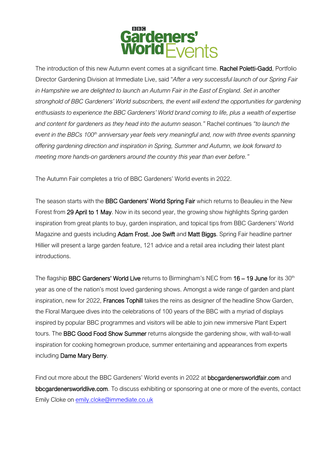

The introduction of this new Autumn event comes at a significant time. Rachel Poletti-Gadd, Portfolio Director Gardening Division at Immediate Live, said "*After a very successful launch of our Spring Fair in Hampshire we are delighted to launch an Autumn Fair in the East of England. Set in another stronghold of BBC Gardeners' World subscribers, the event will extend the opportunities for gardening enthusiasts to experience the BBC Gardeners' World brand coming to life, plus a wealth of expertise and content for gardeners as they head into the autumn season."* Rachel continues *"to launch the event in the BBCs 100th anniversary year feels very meaningful and, now with three events spanning offering gardening direction and inspiration in Spring, Summer and Autumn, we look forward to meeting more hands-on gardeners around the country this year than ever before."*

The Autumn Fair completes a trio of BBC Gardeners' World events in 2022.

The season starts with the BBC Gardeners' World Spring Fair which returns to Beaulieu in the New Forest from 29 April to 1 May. Now in its second year, the growing show highlights Spring garden inspiration from great plants to buy, garden inspiration, and topical tips from BBC Gardeners' World Magazine and guests including Adam Frost, Joe Swift and Matt Biggs. Spring Fair headline partner Hillier will present a large garden feature, 121 advice and a retail area including their latest plant introductions.

The flagship BBC Gardeners' World Live returns to Birmingham's NEC from 16 - 19 June for its 30<sup>th</sup> year as one of the nation's most loved gardening shows. Amongst a wide range of garden and plant inspiration, new for 2022, Frances Tophill takes the reins as designer of the headline Show Garden, the Floral Marquee dives into the celebrations of 100 years of the BBC with a myriad of displays inspired by popular BBC programmes and visitors will be able to join new immersive Plant Expert tours. The BBC Good Food Show Summer returns alongside the gardening show, with wall-to-wall inspiration for cooking homegrown produce, summer entertaining and appearances from experts including Dame Mary Berry.

Find out more about the BBC Gardeners' World events in 2022 at bbcgardenersworldfair.com and bbcgardenersworldlive.com. To discuss exhibiting or sponsoring at one or more of the events, contact Emily Cloke on [emily.cloke@immediate.co.uk](mailto:emily.cloke@immediate.co.uk)